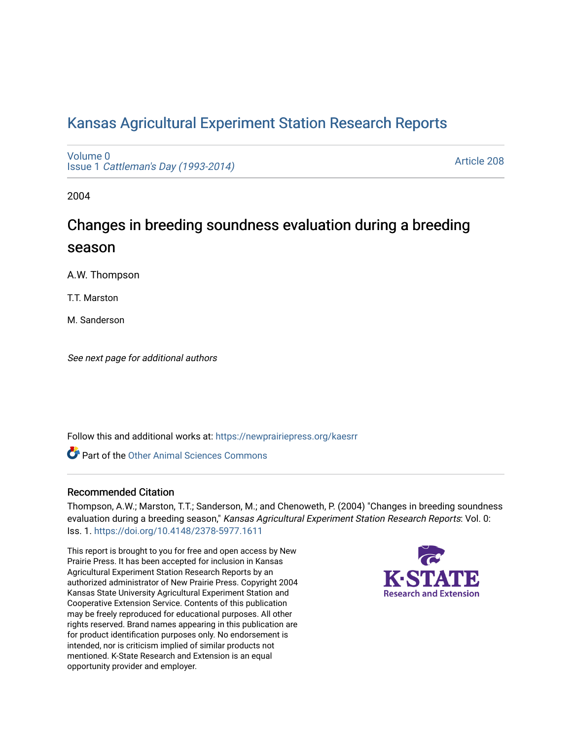# [Kansas Agricultural Experiment Station Research Reports](https://newprairiepress.org/kaesrr)

[Volume 0](https://newprairiepress.org/kaesrr/vol0) Issue 1 [Cattleman's Day \(1993-2014\)](https://newprairiepress.org/kaesrr/vol0/iss1) 

[Article 208](https://newprairiepress.org/kaesrr/vol0/iss1/208) 

2004

# Changes in breeding soundness evaluation during a breeding season

A.W. Thompson

T.T. Marston

M. Sanderson

See next page for additional authors

Follow this and additional works at: [https://newprairiepress.org/kaesrr](https://newprairiepress.org/kaesrr?utm_source=newprairiepress.org%2Fkaesrr%2Fvol0%2Fiss1%2F208&utm_medium=PDF&utm_campaign=PDFCoverPages) 

**C** Part of the [Other Animal Sciences Commons](http://network.bepress.com/hgg/discipline/82?utm_source=newprairiepress.org%2Fkaesrr%2Fvol0%2Fiss1%2F208&utm_medium=PDF&utm_campaign=PDFCoverPages)

## Recommended Citation

Thompson, A.W.; Marston, T.T.; Sanderson, M.; and Chenoweth, P. (2004) "Changes in breeding soundness evaluation during a breeding season," Kansas Agricultural Experiment Station Research Reports: Vol. 0: Iss. 1. <https://doi.org/10.4148/2378-5977.1611>

This report is brought to you for free and open access by New Prairie Press. It has been accepted for inclusion in Kansas Agricultural Experiment Station Research Reports by an authorized administrator of New Prairie Press. Copyright 2004 Kansas State University Agricultural Experiment Station and Cooperative Extension Service. Contents of this publication may be freely reproduced for educational purposes. All other rights reserved. Brand names appearing in this publication are for product identification purposes only. No endorsement is intended, nor is criticism implied of similar products not mentioned. K-State Research and Extension is an equal opportunity provider and employer.

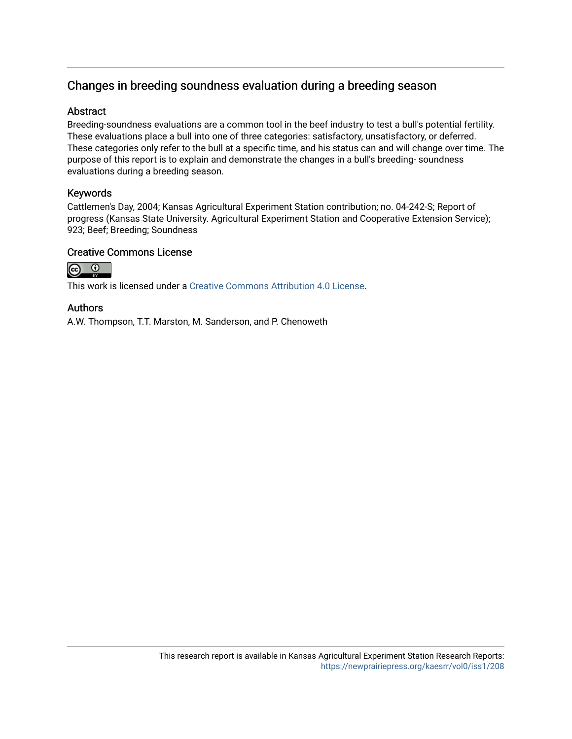# Changes in breeding soundness evaluation during a breeding season

## **Abstract**

Breeding-soundness evaluations are a common tool in the beef industry to test a bull's potential fertility. These evaluations place a bull into one of three categories: satisfactory, unsatisfactory, or deferred. These categories only refer to the bull at a specific time, and his status can and will change over time. The purpose of this report is to explain and demonstrate the changes in a bull's breeding- soundness evaluations during a breeding season.

# Keywords

Cattlemen's Day, 2004; Kansas Agricultural Experiment Station contribution; no. 04-242-S; Report of progress (Kansas State University. Agricultural Experiment Station and Cooperative Extension Service); 923; Beef; Breeding; Soundness

# Creative Commons License



This work is licensed under a [Creative Commons Attribution 4.0 License](https://creativecommons.org/licenses/by/4.0/).

## Authors

A.W. Thompson, T.T. Marston, M. Sanderson, and P. Chenoweth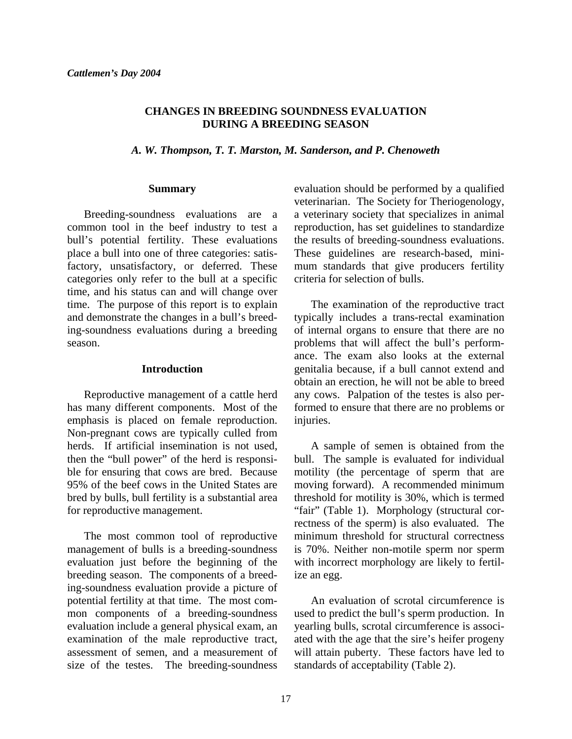#### **CHANGES IN BREEDING SOUNDNESS EVALUATION DURING A BREEDING SEASON**

*A. W. Thompson, T. T. Marston, M. Sanderson, and P. Chenoweth* 

#### **Summary**

 Breeding-soundness evaluations are a common tool in the beef industry to test a bull's potential fertility. These evaluations place a bull into one of three categories: satisfactory, unsatisfactory, or deferred. These categories only refer to the bull at a specific time, and his status can and will change over time. The purpose of this report is to explain and demonstrate the changes in a bull's breeding-soundness evaluations during a breeding season.

#### **Introduction**

Reproductive management of a cattle herd has many different components. Most of the emphasis is placed on female reproduction. Non-pregnant cows are typically culled from herds. If artificial insemination is not used, then the "bull power" of the herd is responsible for ensuring that cows are bred. Because 95% of the beef cows in the United States are bred by bulls, bull fertility is a substantial area for reproductive management.

 The most common tool of reproductive management of bulls is a breeding-soundness evaluation just before the beginning of the breeding season. The components of a breeding-soundness evaluation provide a picture of potential fertility at that time. The most common components of a breeding-soundness evaluation include a general physical exam, an examination of the male reproductive tract, assessment of semen, and a measurement of size of the testes. The breeding-soundness

evaluation should be performed by a qualified veterinarian. The Society for Theriogenology, a veterinary society that specializes in animal reproduction, has set guidelines to standardize the results of breeding-soundness evaluations. These guidelines are research-based, minimum standards that give producers fertility criteria for selection of bulls.

 The examination of the reproductive tract typically includes a trans-rectal examination of internal organs to ensure that there are no problems that will affect the bull's performance. The exam also looks at the external genitalia because, if a bull cannot extend and obtain an erection, he will not be able to breed any cows. Palpation of the testes is also performed to ensure that there are no problems or injuries.

 A sample of semen is obtained from the bull. The sample is evaluated for individual motility (the percentage of sperm that are moving forward). A recommended minimum threshold for motility is 30%, which is termed "fair" (Table 1). Morphology (structural correctness of the sperm) is also evaluated. The minimum threshold for structural correctness is 70%. Neither non-motile sperm nor sperm with incorrect morphology are likely to fertilize an egg.

 An evaluation of scrotal circumference is used to predict the bull's sperm production. In yearling bulls, scrotal circumference is associated with the age that the sire's heifer progeny will attain puberty. These factors have led to standards of acceptability (Table 2).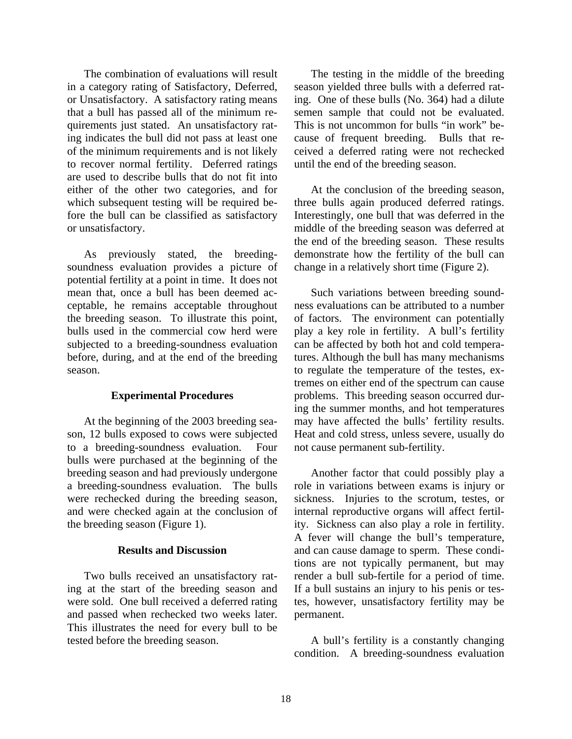The combination of evaluations will result in a category rating of Satisfactory, Deferred, or Unsatisfactory. A satisfactory rating means that a bull has passed all of the minimum requirements just stated. An unsatisfactory rating indicates the bull did not pass at least one of the minimum requirements and is not likely to recover normal fertility. Deferred ratings are used to describe bulls that do not fit into either of the other two categories, and for which subsequent testing will be required before the bull can be classified as satisfactory or unsatisfactory.

 As previously stated, the breedingsoundness evaluation provides a picture of potential fertility at a point in time. It does not mean that, once a bull has been deemed acceptable, he remains acceptable throughout the breeding season. To illustrate this point, bulls used in the commercial cow herd were subjected to a breeding-soundness evaluation before, during, and at the end of the breeding season.

#### **Experimental Procedures**

At the beginning of the 2003 breeding season, 12 bulls exposed to cows were subjected to a breeding-soundness evaluation. Four bulls were purchased at the beginning of the breeding season and had previously undergone a breeding-soundness evaluation. The bulls were rechecked during the breeding season, and were checked again at the conclusion of the breeding season (Figure 1).

#### **Results and Discussion**

Two bulls received an unsatisfactory rating at the start of the breeding season and were sold. One bull received a deferred rating and passed when rechecked two weeks later. This illustrates the need for every bull to be tested before the breeding season.

 The testing in the middle of the breeding season yielded three bulls with a deferred rating. One of these bulls (No. 364) had a dilute semen sample that could not be evaluated. This is not uncommon for bulls "in work" because of frequent breeding. Bulls that received a deferred rating were not rechecked until the end of the breeding season.

 At the conclusion of the breeding season, three bulls again produced deferred ratings. Interestingly, one bull that was deferred in the middle of the breeding season was deferred at the end of the breeding season. These results demonstrate how the fertility of the bull can change in a relatively short time (Figure 2).

 Such variations between breeding soundness evaluations can be attributed to a number of factors. The environment can potentially play a key role in fertility. A bull's fertility can be affected by both hot and cold temperatures. Although the bull has many mechanisms to regulate the temperature of the testes, extremes on either end of the spectrum can cause problems. This breeding season occurred during the summer months, and hot temperatures may have affected the bulls' fertility results. Heat and cold stress, unless severe, usually do not cause permanent sub-fertility.

 Another factor that could possibly play a role in variations between exams is injury or sickness. Injuries to the scrotum, testes, or internal reproductive organs will affect fertility. Sickness can also play a role in fertility. A fever will change the bull's temperature, and can cause damage to sperm. These conditions are not typically permanent, but may render a bull sub-fertile for a period of time. If a bull sustains an injury to his penis or testes, however, unsatisfactory fertility may be permanent.

 A bull's fertility is a constantly changing condition. A breeding-soundness evaluation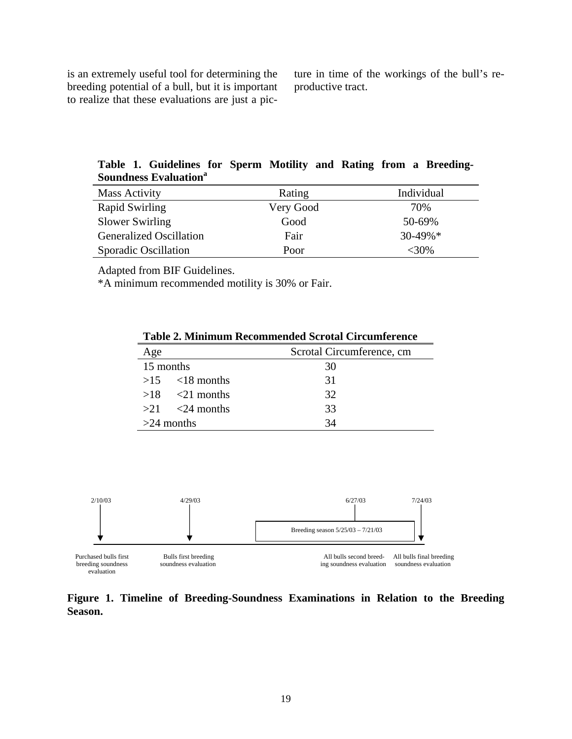is an extremely useful tool for determining the breeding potential of a bull, but it is important to realize that these evaluations are just a picture in time of the workings of the bull's reproductive tract.

**Table 1. Guidelines for Sperm Motility and Rating from a Breeding-Soundness Evaluation<sup>a</sup>**

| <b>Mass Activity</b>           | Rating    | Individual  |
|--------------------------------|-----------|-------------|
| Rapid Swirling                 | Very Good | 70%         |
| Slower Swirling                | Good      | 50-69%      |
| <b>Generalized Oscillation</b> | Fair      | $30-49\%$ * |
| Sporadic Oscillation           | Poor      | <30%        |

Adapted from BIF Guidelines.

\*A minimum recommended motility is 30% or Fair.

| Age                | Scrotal Circumference, cm |
|--------------------|---------------------------|
| 15 months          | 30                        |
| $>15$ <18 months   | 31                        |
| $>18$ $<21$ months | 32                        |
| $>21$ <24 months   | 33                        |
| $>24$ months       | 34                        |

**Table 2. Minimum Recommended Scrotal Circumference** 



**Figure 1. Timeline of Breeding-Soundness Examinations in Relation to the Breeding Season.**